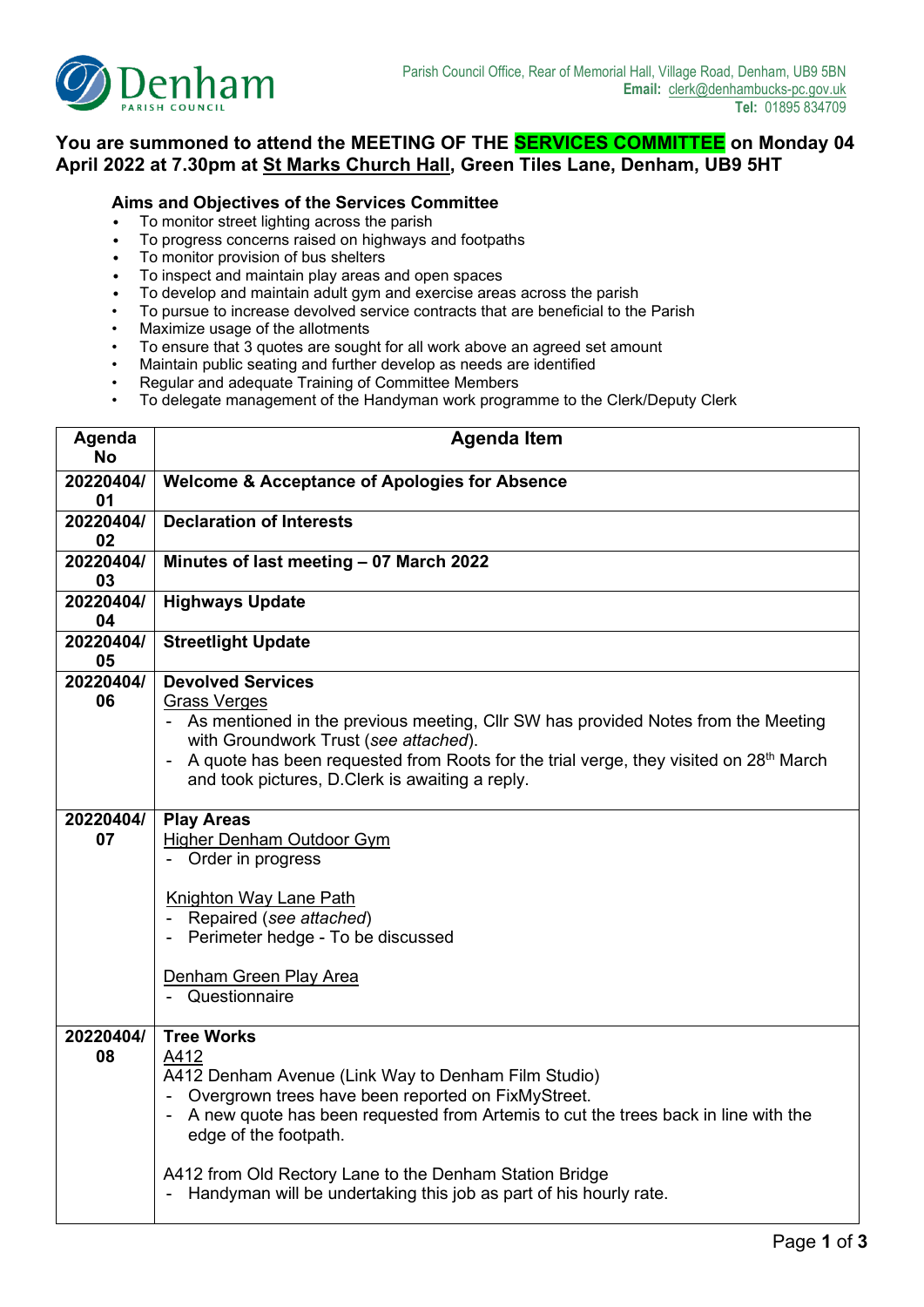

## **You are summoned to attend the MEETING OF THE SERVICES COMMITTEE on Monday 04 April 2022 at 7.30pm at St Marks Church Hall, Green Tiles Lane, Denham, UB9 5HT**

## **Aims and Objectives of the Services Committee**

- To monitor street lighting across the parish
- To progress concerns raised on highways and footpaths
- To monitor provision of bus shelters
- To inspect and maintain play areas and open spaces
- To develop and maintain adult gym and exercise areas across the parish
- To pursue to increase devolved service contracts that are beneficial to the Parish
- Maximize usage of the allotments
- To ensure that 3 quotes are sought for all work above an agreed set amount
- Maintain public seating and further develop as needs are identified
- Regular and adequate Training of Committee Members
- To delegate management of the Handyman work programme to the Clerk/Deputy Clerk

| Agenda<br><b>No</b> | <b>Agenda Item</b>                                                                                                                                           |  |  |  |  |  |
|---------------------|--------------------------------------------------------------------------------------------------------------------------------------------------------------|--|--|--|--|--|
| 20220404/           | <b>Welcome &amp; Acceptance of Apologies for Absence</b>                                                                                                     |  |  |  |  |  |
| 01<br>20220404/     |                                                                                                                                                              |  |  |  |  |  |
| 02                  | <b>Declaration of Interests</b>                                                                                                                              |  |  |  |  |  |
| 20220404/           | Minutes of last meeting - 07 March 2022                                                                                                                      |  |  |  |  |  |
| 03                  |                                                                                                                                                              |  |  |  |  |  |
| 20220404/           | <b>Highways Update</b>                                                                                                                                       |  |  |  |  |  |
| 04                  |                                                                                                                                                              |  |  |  |  |  |
| 20220404/<br>05     | <b>Streetlight Update</b>                                                                                                                                    |  |  |  |  |  |
| 20220404/           | <b>Devolved Services</b>                                                                                                                                     |  |  |  |  |  |
| 06                  | <b>Grass Verges</b>                                                                                                                                          |  |  |  |  |  |
|                     | - As mentioned in the previous meeting, Cllr SW has provided Notes from the Meeting                                                                          |  |  |  |  |  |
|                     | with Groundwork Trust (see attached).<br>A quote has been requested from Roots for the trial verge, they visited on 28 <sup>th</sup> March<br>$\blacksquare$ |  |  |  |  |  |
|                     | and took pictures, D.Clerk is awaiting a reply.                                                                                                              |  |  |  |  |  |
|                     |                                                                                                                                                              |  |  |  |  |  |
| 20220404/           | <b>Play Areas</b>                                                                                                                                            |  |  |  |  |  |
| 07                  | <b>Higher Denham Outdoor Gym</b>                                                                                                                             |  |  |  |  |  |
|                     | - Order in progress                                                                                                                                          |  |  |  |  |  |
|                     | <b>Knighton Way Lane Path</b>                                                                                                                                |  |  |  |  |  |
|                     | Repaired (see attached)                                                                                                                                      |  |  |  |  |  |
|                     | Perimeter hedge - To be discussed                                                                                                                            |  |  |  |  |  |
|                     |                                                                                                                                                              |  |  |  |  |  |
|                     | Denham Green Play Area                                                                                                                                       |  |  |  |  |  |
|                     | Questionnaire                                                                                                                                                |  |  |  |  |  |
| 20220404/           | <b>Tree Works</b>                                                                                                                                            |  |  |  |  |  |
| 08                  | A412                                                                                                                                                         |  |  |  |  |  |
|                     | A412 Denham Avenue (Link Way to Denham Film Studio)                                                                                                          |  |  |  |  |  |
|                     | Overgrown trees have been reported on FixMyStreet.                                                                                                           |  |  |  |  |  |
|                     | A new quote has been requested from Artemis to cut the trees back in line with the                                                                           |  |  |  |  |  |
|                     | edge of the footpath.                                                                                                                                        |  |  |  |  |  |
|                     | A412 from Old Rectory Lane to the Denham Station Bridge                                                                                                      |  |  |  |  |  |
|                     | Handyman will be undertaking this job as part of his hourly rate.                                                                                            |  |  |  |  |  |
|                     |                                                                                                                                                              |  |  |  |  |  |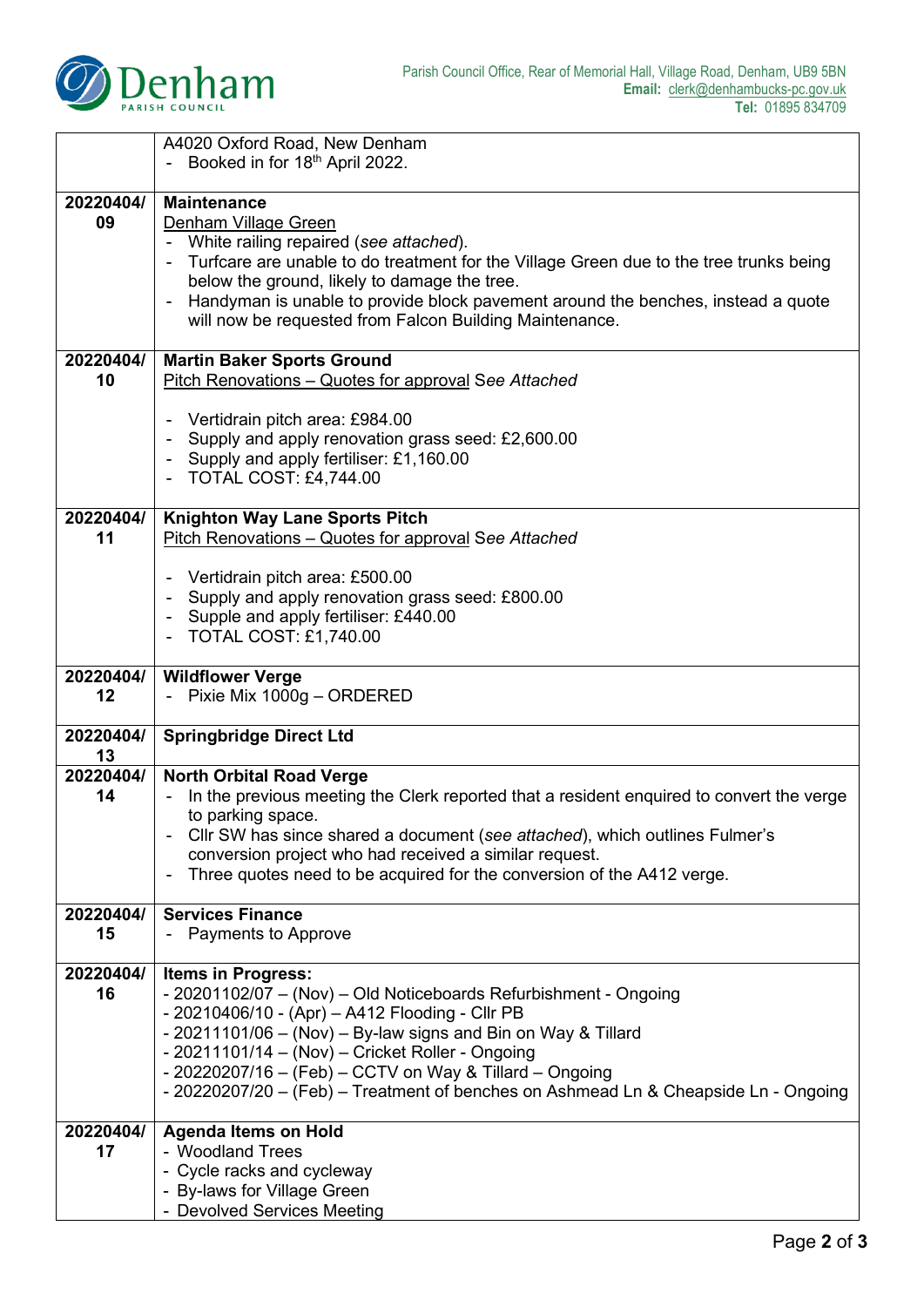

|                 | A4020 Oxford Road, New Denham<br>Booked in for 18th April 2022.                                                                                                                                                                                                                                                                                                                                                         |  |  |  |  |
|-----------------|-------------------------------------------------------------------------------------------------------------------------------------------------------------------------------------------------------------------------------------------------------------------------------------------------------------------------------------------------------------------------------------------------------------------------|--|--|--|--|
| 20220404/<br>09 | <b>Maintenance</b><br>Denham Village Green<br>White railing repaired (see attached).<br>Turfcare are unable to do treatment for the Village Green due to the tree trunks being<br>below the ground, likely to damage the tree.<br>Handyman is unable to provide block pavement around the benches, instead a quote<br>$\blacksquare$<br>will now be requested from Falcon Building Maintenance.                         |  |  |  |  |
| 20220404/<br>10 | <b>Martin Baker Sports Ground</b><br>Pitch Renovations - Quotes for approval See Attached                                                                                                                                                                                                                                                                                                                               |  |  |  |  |
|                 | Vertidrain pitch area: £984.00<br>Supply and apply renovation grass seed: £2,600.00<br>Supply and apply fertiliser: £1,160.00<br><b>TOTAL COST: £4,744.00</b>                                                                                                                                                                                                                                                           |  |  |  |  |
| 20220404/<br>11 | <b>Knighton Way Lane Sports Pitch</b><br>Pitch Renovations - Quotes for approval See Attached                                                                                                                                                                                                                                                                                                                           |  |  |  |  |
|                 | Vertidrain pitch area: £500.00<br>Supply and apply renovation grass seed: £800.00<br>Supple and apply fertiliser: £440.00<br><b>TOTAL COST: £1,740.00</b>                                                                                                                                                                                                                                                               |  |  |  |  |
| 20220404/<br>12 | <b>Wildflower Verge</b><br>- Pixie Mix 1000g - ORDERED                                                                                                                                                                                                                                                                                                                                                                  |  |  |  |  |
| 20220404/<br>13 | <b>Springbridge Direct Ltd</b>                                                                                                                                                                                                                                                                                                                                                                                          |  |  |  |  |
| 20220404/<br>14 | <b>North Orbital Road Verge</b><br>In the previous meeting the Clerk reported that a resident enquired to convert the verge<br>to parking space.<br>Cllr SW has since shared a document (see attached), which outlines Fulmer's<br>conversion project who had received a similar request.<br>Three quotes need to be acquired for the conversion of the A412 verge.<br>$\blacksquare$                                   |  |  |  |  |
| 20220404/<br>15 | <b>Services Finance</b><br>- Payments to Approve                                                                                                                                                                                                                                                                                                                                                                        |  |  |  |  |
| 20220404/<br>16 | <b>Items in Progress:</b><br>- 20201102/07 - (Nov) - Old Noticeboards Refurbishment - Ongoing<br>- 20210406/10 - (Apr) - A412 Flooding - Cllr PB<br>- 20211101/06 - (Nov) - By-law signs and Bin on Way & Tillard<br>- 20211101/14 - (Nov) - Cricket Roller - Ongoing<br>- 20220207/16 - (Feb) - CCTV on Way & Tillard - Ongoing<br>- 20220207/20 - (Feb) - Treatment of benches on Ashmead Ln & Cheapside Ln - Ongoing |  |  |  |  |
| 20220404/<br>17 | <b>Agenda Items on Hold</b><br>- Woodland Trees<br>- Cycle racks and cycleway<br>- By-laws for Village Green<br>- Devolved Services Meeting                                                                                                                                                                                                                                                                             |  |  |  |  |